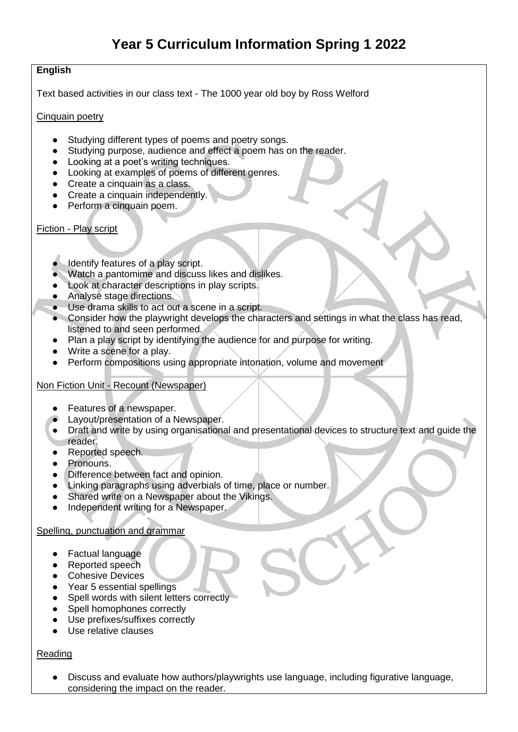## **English**

Text based activities in our class text - The 1000 year old boy by Ross Welford

#### Cinquain poetry

- Studying different types of poems and poetry songs.<br>● Studying purpose audience and effect a poem has o
- Studying purpose, audience and effect a poem has on the reader.
- Looking at a poet's writing techniques.
- Looking at examples of poems of different genres.
- Create a cinquain as a class.
- Create a cinquain independently.
- Perform a cinquain poem.

#### Fiction - Play script

- Identify features of a play script.
- Watch a pantomime and discuss likes and dislikes.
- Look at character descriptions in play scripts.
- Analyse stage directions.
- Use drama skills to act out a scene in a script.
- Consider how the playwright develops the characters and settings in what the class has read, listened to and seen performed.
- Plan a play script by identifying the audience for and purpose for writing.
- Write a scene for a play.
- Perform compositions using appropriate intonation, volume and movement

## Non Fiction Unit - Recount (Newspaper)

- Features of a newspaper.
- Layout/presentation of a Newspaper.
- Draft and write by using organisational and presentational devices to structure text and guide the reader.
- Reported speech.
- Pronouns.
- Difference between fact and opinion.
- Linking paragraphs using adverbials of time, place or number.
- Shared write on a Newspaper about the Vikings.
- Independent writing for a Newspaper.

#### Spelling, punctuation and grammar

- Factual language
- Reported speech
- Cohesive Devices
- Year 5 essential spellings
- Spell words with silent letters correctly
- Spell homophones correctly
- Use prefixes/suffixes correctly
- Use relative clauses

## Reading

Discuss and evaluate how authors/playwrights use language, including figurative language, considering the impact on the reader.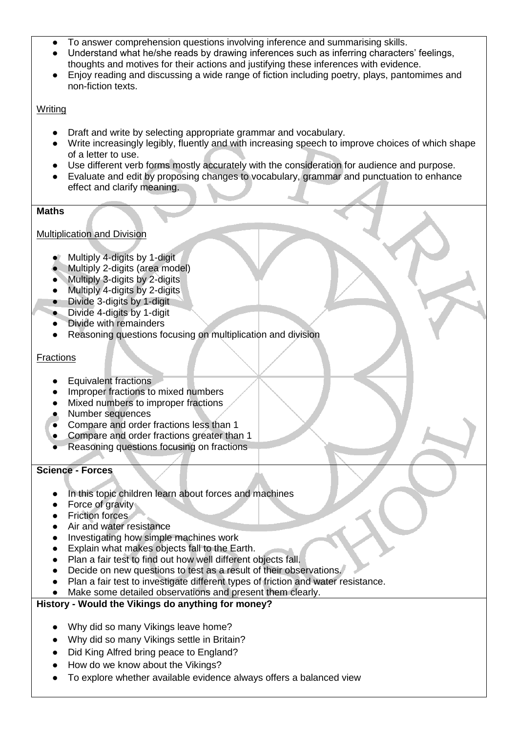- To answer comprehension questions involving inference and summarising skills.
- Understand what he/she reads by drawing inferences such as inferring characters' feelings, thoughts and motives for their actions and justifying these inferences with evidence.
- Enjoy reading and discussing a wide range of fiction including poetry, plays, pantomimes and non-fiction texts.

### Writing

- Draft and write by selecting appropriate grammar and vocabulary.
- Write increasingly legibly, fluently and with increasing speech to improve choices of which shape of a letter to use.
- Use different verb forms mostly accurately with the consideration for audience and purpose.
- Evaluate and edit by proposing changes to vocabulary, grammar and punctuation to enhance effect and clarify meaning.

### **Maths**

## Multiplication and Division

- Multiply 4-digits by 1-digit
- Multiply 2-digits (area model)
- Multiply 3-digits by 2-digits
- Multiply 4-digits by 2-digits
- Divide 3-digits by 1-digit
- Divide 4-digits by 1-digit
- **Divide with remainders**
- Reasoning questions focusing on multiplication and division

## **Fractions**

- **Equivalent fractions**
- Improper fractions to mixed numbers
- Mixed numbers to improper fractions
- Number sequences
- Compare and order fractions less than 1
- Compare and order fractions greater than 1
- Reasoning questions focusing on fractions

### **Science - Forces**

- In this topic children learn about forces and machines
- Force of gravity
- Friction forces
- Air and water resistance
- Investigating how simple machines work
- Explain what makes objects fall to the Earth.
- Plan a fair test to find out how well different objects fall.
- Decide on new questions to test as a result of their observations.
- Plan a fair test to investigate different types of friction and water resistance.
- Make some detailed observations and present them clearly.

## **History - Would the Vikings do anything for money?**

- Why did so many Vikings leave home?
- Why did so many Vikings settle in Britain?
- Did King Alfred bring peace to England?
- How do we know about the Vikings?
- To explore whether available evidence always offers a balanced view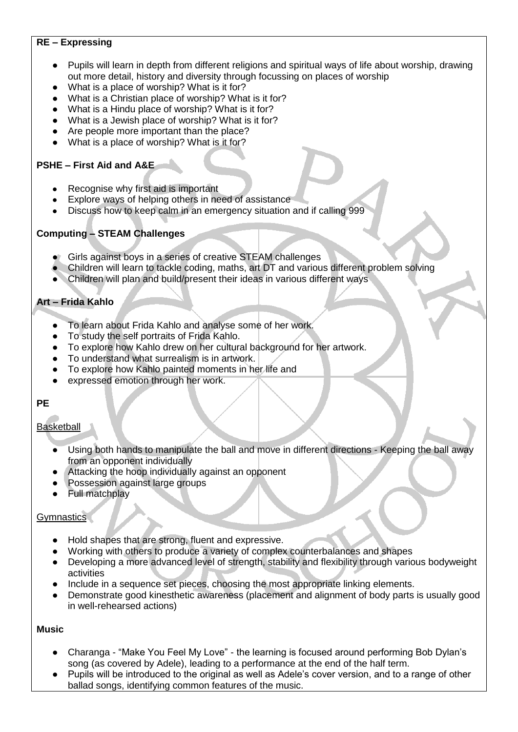# **RE – Expressing**

- Pupils will learn in depth from different religions and spiritual ways of life about worship, drawing out more detail, history and diversity through focussing on places of worship
- What is a place of worship? What is it for?
- What is a Christian place of worship? What is it for?
- What is a Hindu place of worship? What is it for?
- What is a Jewish place of worship? What is it for?
- Are people more important than the place?
- What is a place of worship? What is it for?

## **PSHE – First Aid and A&E**

- Recognise why first aid is important
- Explore ways of helping others in need of assistance
- Discuss how to keep calm in an emergency situation and if calling 999

# **Computing – STEAM Challenges**

- Girls against boys in a series of creative STEAM challenges
- Children will learn to tackle coding, maths, art DT and various different problem solving
- Children will plan and build/present their ideas in various different ways

# **Art – Frida Kahlo**

- To learn about Frida Kahlo and analyse some of her work.
- To study the self portraits of Frida Kahlo.
- To explore how Kahlo drew on her cultural background for her artwork.
- To understand what surrealism is in artwork.
- To explore how Kahlo painted moments in her life and
- expressed emotion through her work.

# **PE**

## Basketball

- Using both hands to manipulate the ball and move in different directions Keeping the ball away from an opponent individually
- Attacking the hoop individually against an opponent
- Possession against large groups
- **Full matchplay**

## **Gymnastics**

- Hold shapes that are strong, fluent and expressive.
- Working with others to produce a variety of complex counterbalances and shapes
- Developing a more advanced level of strength, stability and flexibility through various bodyweight activities
- Include in a sequence set pieces, choosing the most appropriate linking elements.
- Demonstrate good kinesthetic awareness (placement and alignment of body parts is usually good in well-rehearsed actions)

#### **Music**

- Charanga "Make You Feel My Love" the learning is focused around performing Bob Dylan's song (as covered by Adele), leading to a performance at the end of the half term.
- Pupils will be introduced to the original as well as Adele's cover version, and to a range of other ballad songs, identifying common features of the music.